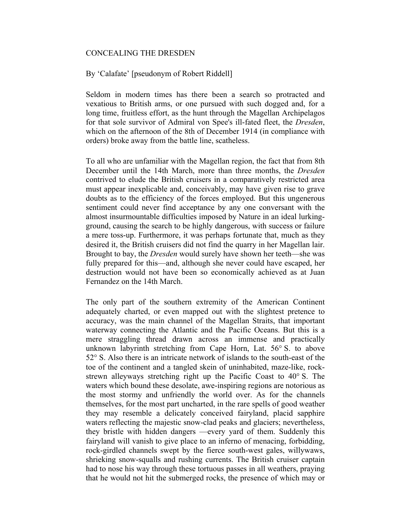## CONCEALING THE DRESDEN

## By 'Calafate' [pseudonym of Robert Riddell]

Seldom in modern times has there been a search so protracted and vexatious to British arms, or one pursued with such dogged and, for a long time, fruitless effort, as the hunt through the Magellan Archipelagos for that sole survivor of Admiral von Spee's ill-fated fleet, the *Dresden*, which on the afternoon of the 8th of December 1914 (in compliance with orders) broke away from the battle line, scatheless.

To all who are unfamiliar with the Magellan region, the fact that from 8th December until the 14th March, more than three months, the *Dresden* contrived to elude the British cruisers in a comparatively restricted area must appear inexplicable and, conceivably, may have given rise to grave doubts as to the efficiency of the forces employed. But this ungenerous sentiment could never find acceptance by any one conversant with the almost insurmountable difficulties imposed by Nature in an ideal lurkingground, causing the search to be highly dangerous, with success or failure a mere toss-up. Furthermore, it was perhaps fortunate that, much as they desired it, the British cruisers did not find the quarry in her Magellan lair. Brought to bay, the *Dresden* would surely have shown her teeth—she was fully prepared for this—and, although she never could have escaped, her destruction would not have been so economically achieved as at Juan Fernandez on the 14th March.

The only part of the southern extremity of the American Continent adequately charted, or even mapped out with the slightest pretence to accuracy, was the main channel of the Magellan Straits, that important waterway connecting the Atlantic and the Pacific Oceans. But this is a mere straggling thread drawn across an immense and practically unknown labyrinth stretching from Cape Horn, Lat. 56° S. to above 52° S. Also there is an intricate network of islands to the south-east of the toe of the continent and a tangled skein of uninhabited, maze-like, rockstrewn alleyways stretching right up the Pacific Coast to 40° S. The waters which bound these desolate, awe-inspiring regions are notorious as the most stormy and unfriendly the world over. As for the channels themselves, for the most part uncharted, in the rare spells of good weather they may resemble a delicately conceived fairyland, placid sapphire waters reflecting the majestic snow-clad peaks and glaciers; nevertheless, they bristle with hidden dangers —every yard of them. Suddenly this fairyland will vanish to give place to an inferno of menacing, forbidding, rock-girdled channels swept by the fierce south-west gales, willywaws, shrieking snow-squalls and rushing currents. The British cruiser captain had to nose his way through these tortuous passes in all weathers, praying that he would not hit the submerged rocks, the presence of which may or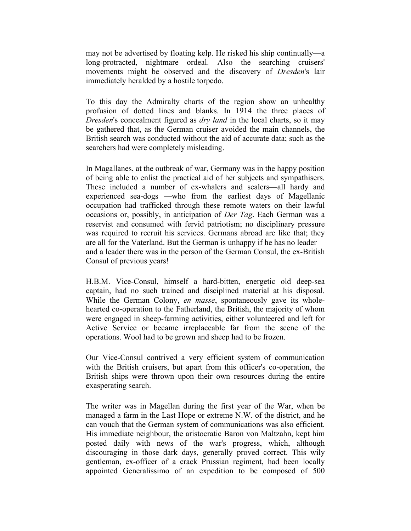may not be advertised by floating kelp. He risked his ship continually—a long-protracted, nightmare ordeal. Also the searching cruisers' movements might be observed and the discovery of *Dresden*'s lair immediately heralded by a hostile torpedo.

To this day the Admiralty charts of the region show an unhealthy profusion of dotted lines and blanks. In 1914 the three places of *Dresden*'s concealment figured as *dry land* in the local charts, so it may be gathered that, as the German cruiser avoided the main channels, the British search was conducted without the aid of accurate data; such as the searchers had were completely misleading.

In Magallanes, at the outbreak of war, Germany was in the happy position of being able to enlist the practical aid of her subjects and sympathisers. These included a number of ex-whalers and sealers—all hardy and experienced sea-dogs —who from the earliest days of Magellanic occupation had trafficked through these remote waters on their lawful occasions or, possibly, in anticipation of *Der Tag*. Each German was a reservist and consumed with fervid patriotism; no disciplinary pressure was required to recruit his services. Germans abroad are like that; they are all for the Vaterland. But the German is unhappy if he has no leader and a leader there was in the person of the German Consul, the ex-British Consul of previous years!

H.B.M. Vice-Consul, himself a hard-bitten, energetic old deep-sea captain, had no such trained and disciplined material at his disposal. While the German Colony, *en masse*, spontaneously gave its wholehearted co-operation to the Fatherland, the British, the majority of whom were engaged in sheep-farming activities, either volunteered and left for Active Service or became irreplaceable far from the scene of the operations. Wool had to be grown and sheep had to be frozen.

Our Vice-Consul contrived a very efficient system of communication with the British cruisers, but apart from this officer's co-operation, the British ships were thrown upon their own resources during the entire exasperating search.

The writer was in Magellan during the first year of the War, when be managed a farm in the Last Hope or extreme N.W. of the district, and he can vouch that the German system of communications was also efficient. His immediate neighbour, the aristocratic Baron von Maltzahn, kept him posted daily with news of the war's progress, which, although discouraging in those dark days, generally proved correct. This wily gentleman, ex-officer of a crack Prussian regiment, had been locally appointed Generalissimo of an expedition to be composed of 500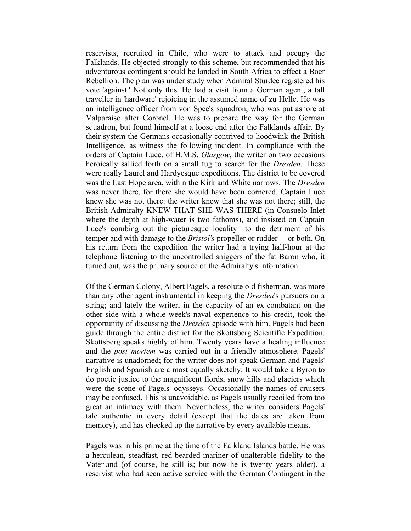reservists, recruited in Chile, who were to attack and occupy the Falklands. He objected strongly to this scheme, but recommended that his adventurous contingent should be landed in South Africa to effect a Boer Rebellion. The plan was under study when Admiral Sturdee registered his vote 'against.' Not only this. He had a visit from a German agent, a tall traveller in 'hardware' rejoicing in the assumed name of zu Helle. He was an intelligence officer from von Spee's squadron, who was put ashore at Valparaiso after Coronel. He was to prepare the way for the German squadron, but found himself at a loose end after the Falklands affair. By their system the Germans occasionally contrived to hoodwink the British Intelligence, as witness the following incident. In compliance with the orders of Captain Luce, of H.M.S. *Glasgow*, the writer on two occasions heroically sallied forth on a small tug to search for the *Dresden*. These were really Laurel and Hardyesque expeditions. The district to be covered was the Last Hope area, within the Kirk and White narrows. The *Dresden* was never there, for there she would have been cornered. Captain Luce knew she was not there: the writer knew that she was not there; still, the British Admiralty KNEW THAT SHE WAS THERE (in Consuelo Inlet where the depth at high-water is two fathoms), and insisted on Captain Luce's combing out the picturesque locality—to the detriment of his temper and with damage to the *Bristol's* propeller or rudder —or both. On his return from the expedition the writer had a trying half-hour at the telephone listening to the uncontrolled sniggers of the fat Baron who, it turned out, was the primary source of the Admiralty's information.

Of the German Colony, Albert Pagels, a resolute old fisherman, was more than any other agent instrumental in keeping the *Dresden*'s pursuers on a string; and lately the writer, in the capacity of an ex-combatant on the other side with a whole week's naval experience to his credit, took the opportunity of discussing the *Dresden* episode with him. Pagels had been guide through the entire district for the Skottsberg Scientific Expedition. Skottsberg speaks highly of him. Twenty years have a healing influence and the *post mortem* was carried out in a friendly atmosphere. Pagels' narrative is unadorned; for the writer does not speak German and Pagels' English and Spanish are almost equally sketchy. It would take a Byron to do poetic justice to the magnificent fiords, snow hills and glaciers which were the scene of Pagels' odysseys. Occasionally the names of cruisers may be confused. This is unavoidable, as Pagels usually recoiled from too great an intimacy with them. Nevertheless, the writer considers Pagels' tale authentic in every detail (except that the dates are taken from memory), and has checked up the narrative by every available means.

Pagels was in his prime at the time of the Falkland Islands battle. He was a herculean, steadfast, red-bearded mariner of unalterable fidelity to the Vaterland (of course, he still is; but now he is twenty years older), a reservist who had seen active service with the German Contingent in the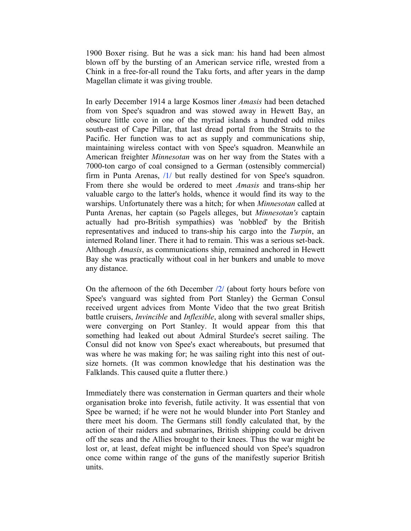1900 Boxer rising. But he was a sick man: his hand had been almost blown off by the bursting of an American service rifle, wrested from a Chink in a free-for-all round the Taku forts, and after years in the damp Magellan climate it was giving trouble.

In early December 1914 a large Kosmos liner *Amasis* had been detached from von Spee's squadron and was stowed away in Hewett Bay, an obscure little cove in one of the myriad islands a hundred odd miles south-east of Cape Pillar, that last dread portal from the Straits to the Pacific. Her function was to act as supply and communications ship, maintaining wireless contact with von Spee's squadron. Meanwhile an American freighter *Minnesotan* was on her way from the States with a 7000-ton cargo of coal consigned to a German (ostensibly commercial) firm in Punta Arenas, /1/ but really destined for von Spee's squadron. From there she would be ordered to meet *Amasis* and trans-ship her valuable cargo to the latter's holds, whence it would find its way to the warships. Unfortunately there was a hitch; for when *Minnesotan* called at Punta Arenas, her captain (so Pagels alleges, but *Minnesotan's* captain actually had pro-British sympathies) was 'nobbled' by the British representatives and induced to trans-ship his cargo into the *Turpin*, an interned Roland liner. There it had to remain. This was a serious set-back. Although *Amasis*, as communications ship, remained anchored in Hewett Bay she was practically without coal in her bunkers and unable to move any distance.

On the afternoon of the 6th December /2/ (about forty hours before von Spee's vanguard was sighted from Port Stanley) the German Consul received urgent advices from Monte Video that the two great British battle cruisers, *Invincible* and *Inflexible*, along with several smaller ships, were converging on Port Stanley. It would appear from this that something had leaked out about Admiral Sturdee's secret sailing. The Consul did not know von Spee's exact whereabouts, but presumed that was where he was making for; he was sailing right into this nest of outsize hornets. (It was common knowledge that his destination was the Falklands. This caused quite a flutter there.)

Immediately there was consternation in German quarters and their whole organisation broke into feverish, futile activity. It was essential that von Spee be warned; if he were not he would blunder into Port Stanley and there meet his doom. The Germans still fondly calculated that, by the action of their raiders and submarines, British shipping could be driven off the seas and the Allies brought to their knees. Thus the war might be lost or, at least, defeat might be influenced should von Spee's squadron once come within range of the guns of the manifestly superior British units.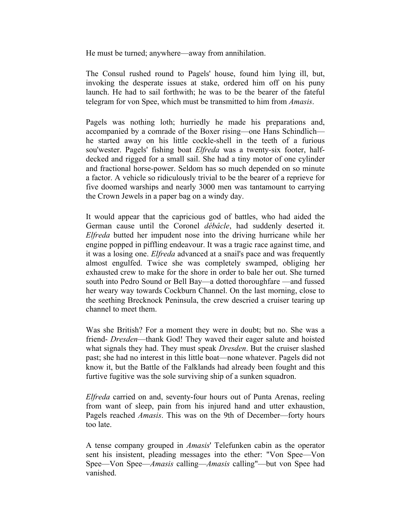He must be turned; anywhere—away from annihilation.

The Consul rushed round to Pagels' house, found him lying ill, but, invoking the desperate issues at stake, ordered him off on his puny launch. He had to sail forthwith; he was to be the bearer of the fateful telegram for von Spee, which must be transmitted to him from *Amasis*.

Pagels was nothing loth; hurriedly he made his preparations and, accompanied by a comrade of the Boxer rising—one Hans Schindlich he started away on his little cockle-shell in the teeth of a furious sou'wester. Pagels' fishing boat *Elfreda* was a twenty-six footer, halfdecked and rigged for a small sail. She had a tiny motor of one cylinder and fractional horse-power. Seldom has so much depended on so minute a factor. A vehicle so ridiculously trivial to be the bearer of a reprieve for five doomed warships and nearly 3000 men was tantamount to carrying the Crown Jewels in a paper bag on a windy day.

It would appear that the capricious god of battles, who had aided the German cause until the Coronel *débâcle*, had suddenly deserted it. *Elfreda* butted her impudent nose into the driving hurricane while her engine popped in piffling endeavour. It was a tragic race against time, and it was a losing one. *Elfreda* advanced at a snail's pace and was frequently almost engulfed. Twice she was completely swamped, obliging her exhausted crew to make for the shore in order to bale her out. She turned south into Pedro Sound or Bell Bay—a dotted thoroughfare —and fussed her weary way towards Cockburn Channel. On the last morning, close to the seething Brecknock Peninsula, the crew descried a cruiser tearing up channel to meet them.

Was she British? For a moment they were in doubt; but no. She was a friend- *Dresden*—thank God! They waved their eager salute and hoisted what signals they had. They must speak *Dresden*. But the cruiser slashed past; she had no interest in this little boat—none whatever. Pagels did not know it, but the Battle of the Falklands had already been fought and this furtive fugitive was the sole surviving ship of a sunken squadron.

*Elfreda* carried on and, seventy-four hours out of Punta Arenas, reeling from want of sleep, pain from his injured hand and utter exhaustion, Pagels reached *Amasis*. This was on the 9th of December—forty hours too late.

A tense company grouped in *Amasis*' Telefunken cabin as the operator sent his insistent, pleading messages into the ether: "Von Spee—Von Spee—Von Spee—*Amasis* calling—*Amasis* calling"—but von Spee had vanished.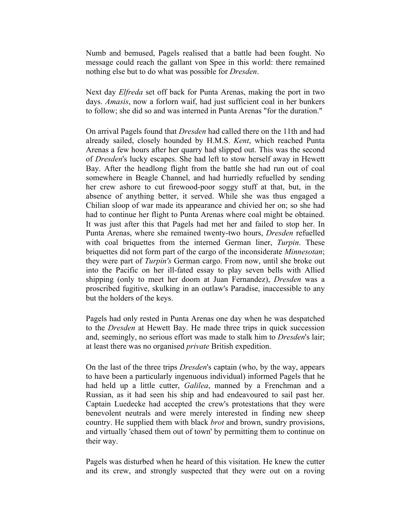Numb and bemused, Pagels realised that a battle had been fought. No message could reach the gallant von Spee in this world: there remained nothing else but to do what was possible for *Dresden*.

Next day *Elfreda* set off back for Punta Arenas, making the port in two days. *Amasis*, now a forlorn waif, had just sufficient coal in her bunkers to follow; she did so and was interned in Punta Arenas "for the duration."

On arrival Pagels found that *Dresden* had called there on the 11th and had already sailed, closely hounded by H.M.S. *Kent*, which reached Punta Arenas a few hours after her quarry had slipped out. This was the second of *Dresden*'s lucky escapes. She had left to stow herself away in Hewett Bay. After the headlong flight from the battle she had run out of coal somewhere in Beagle Channel, and had hurriedly refuelled by sending her crew ashore to cut firewood-poor soggy stuff at that, but, in the absence of anything better, it served. While she was thus engaged a Chilian sloop of war made its appearance and chivied her on; so she had had to continue her flight to Punta Arenas where coal might be obtained. It was just after this that Pagels had met her and failed to stop her. In Punta Arenas, where she remained twenty-two hours, *Dresden* refuelled with coal briquettes from the interned German liner, *Turpin*. These briquettes did not form part of the cargo of the inconsiderate *Minnesotan*; they were part of *Turpin's* German cargo. From now, until she broke out into the Pacific on her ill-fated essay to play seven bells with Allied shipping (only to meet her doom at Juan Fernandez), *Dresden* was a proscribed fugitive, skulking in an outlaw's Paradise, inaccessible to any but the holders of the keys.

Pagels had only rested in Punta Arenas one day when he was despatched to the *Dresden* at Hewett Bay. He made three trips in quick succession and, seemingly, no serious effort was made to stalk him to *Dresden*'s lair; at least there was no organised *private* British expedition.

On the last of the three trips *Dresden*'s captain (who, by the way, appears to have been a particularly ingenuous individual) informed Pagels that he had held up a little cutter, *Galilea*, manned by a Frenchman and a Russian, as it had seen his ship and had endeavoured to sail past her. Captain Luedecke had accepted the crew's protestations that they were benevolent neutrals and were merely interested in finding new sheep country. He supplied them with black *brot* and brown, sundry provisions, and virtually 'chased them out of town' by permitting them to continue on their way.

Pagels was disturbed when he heard of this visitation. He knew the cutter and its crew, and strongly suspected that they were out on a roving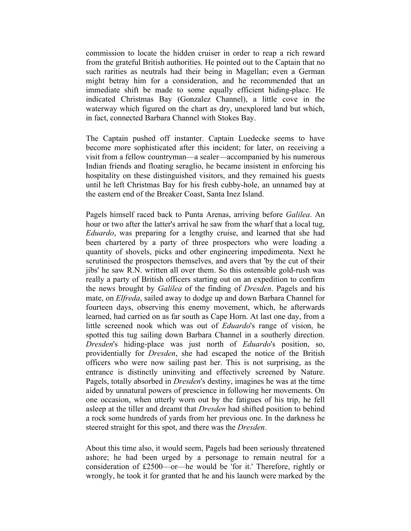commission to locate the hidden cruiser in order to reap a rich reward from the grateful British authorities. He pointed out to the Captain that no such rarities as neutrals had their being in Magellan; even a German might betray him for a consideration, and he recommended that an immediate shift be made to some equally efficient hiding-place. He indicated Christmas Bay (Gonzalez Channel), a little cove in the waterway which figured on the chart as dry, unexplored land but which, in fact, connected Barbara Channel with Stokes Bay.

The Captain pushed off instanter. Captain Luedecke seems to have become more sophisticated after this incident; for later, on receiving a visit from a fellow countryman—a sealer—accompanied by his numerous Indian friends and floating seraglio, he became insistent in enforcing his hospitality on these distinguished visitors, and they remained his guests until he left Christmas Bay for his fresh cubby-hole, an unnamed bay at the eastern end of the Breaker Coast, Santa Inez Island.

Pagels himself raced back to Punta Arenas, arriving before *Galilea*. An hour or two after the latter's arrival he saw from the wharf that a local tug, *Eduardo*, was preparing for a lengthy cruise, and learned that she had been chartered by a party of three prospectors who were loading a quantity of shovels, picks and other engineering impedimenta. Next he scrutinised the prospectors themselves, and avers that 'by the cut of their jibs' he saw R.N. written all over them. So this ostensible gold-rush was really a party of British officers starting out on an expedition to confirm the news brought by *Galilea* of the finding of *Dresden*. Pagels and his mate, on *Elfreda*, sailed away to dodge up and down Barbara Channel for fourteen days, observing this enemy movement, which, he afterwards learned, had carried on as far south as Cape Horn. At last one day, from a little screened nook which was out of *Eduardo*'s range of vision, he spotted this tug sailing down Barbara Channel in a southerly direction. *Dresden*'s hiding-place was just north of *Eduardo*'s position, so, providentially for *Dresden*, she had escaped the notice of the British officers who were now sailing past her. This is not surprising, as the entrance is distinctly uninviting and effectively screened by Nature. Pagels, totally absorbed in *Dresden*'s destiny, imagines he was at the time aided by unnatural powers of prescience in following her movements. On one occasion, when utterly worn out by the fatigues of his trip, he fell asleep at the tiller and dreamt that *Dresden* had shifted position to behind a rock some hundreds of yards from her previous one. In the darkness he steered straight for this spot, and there was the *Dresden*.

About this time also, it would seem, Pagels had been seriously threatened ashore; he had been urged by a personage to remain neutral for a consideration of £2500—or—he would be 'for it.' Therefore, rightly or wrongly, he took it for granted that he and his launch were marked by the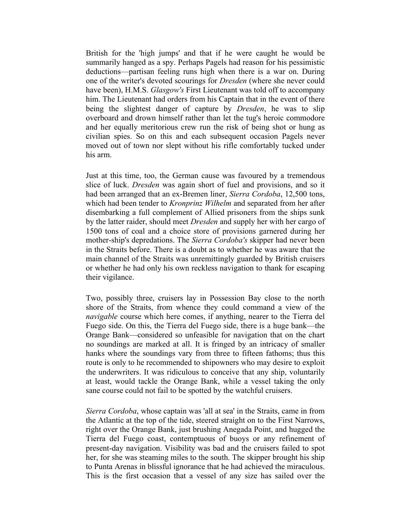British for the 'high jumps' and that if he were caught he would be summarily hanged as a spy. Perhaps Pagels had reason for his pessimistic deductions—partisan feeling runs high when there is a war on. During one of the writer's devoted scourings for *Dresden* (where she never could have been), H.M.S. *Glasgow's* First Lieutenant was told off to accompany him. The Lieutenant had orders from his Captain that in the event of there being the slightest danger of capture by *Dresden*, he was to slip overboard and drown himself rather than let the tug's heroic commodore and her equally meritorious crew run the risk of being shot or hung as civilian spies. So on this and each subsequent occasion Pagels never moved out of town nor slept without his rifle comfortably tucked under his arm.

Just at this time, too, the German cause was favoured by a tremendous slice of luck. *Dresden* was again short of fuel and provisions, and so it had been arranged that an ex-Bremen liner, *Sierra Cordoba*, 12,500 tons, which had been tender to *Kronprinz Wilhelm* and separated from her after disembarking a full complement of Allied prisoners from the ships sunk by the latter raider, should meet *Dresden* and supply her with her cargo of 1500 tons of coal and a choice store of provisions garnered during her mother-ship's depredations. The *Sierra Cordoba's* skipper had never been in the Straits before. There is a doubt as to whether he was aware that the main channel of the Straits was unremittingly guarded by British cruisers or whether he had only his own reckless navigation to thank for escaping their vigilance.

Two, possibly three, cruisers lay in Possession Bay close to the north shore of the Straits, from whence they could command a view of the *navigable* course which here comes, if anything, nearer to the Tierra del Fuego side. On this, the Tierra del Fuego side, there is a huge bank—the Orange Bank—considered so unfeasible for navigation that on the chart no soundings are marked at all. It is fringed by an intricacy of smaller hanks where the soundings vary from three to fifteen fathoms; thus this route is only to he recommended to shipowners who may desire to exploit the underwriters. It was ridiculous to conceive that any ship, voluntarily at least, would tackle the Orange Bank, while a vessel taking the only sane course could not fail to be spotted by the watchful cruisers.

*Sierra Cordoba*, whose captain was 'all at sea' in the Straits, came in from the Atlantic at the top of the tide, steered straight on to the First Narrows, right over the Orange Bank, just brushing Anegada Point, and hugged the Tierra del Fuego coast, contemptuous of buoys or any refinement of present-day navigation. Visibility was bad and the cruisers failed to spot her, for she was steaming miles to the south. The skipper brought his ship to Punta Arenas in blissful ignorance that he had achieved the miraculous. This is the first occasion that a vessel of any size has sailed over the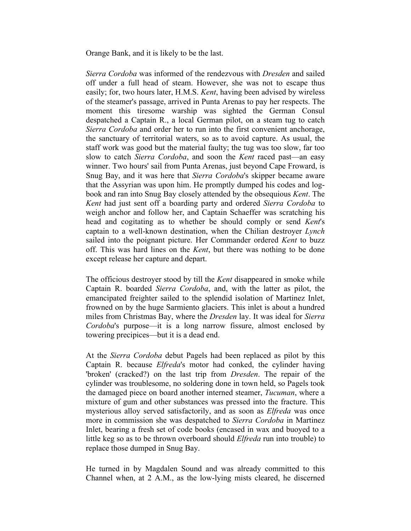Orange Bank, and it is likely to be the last.

*Sierra Cordoba* was informed of the rendezvous with *Dresden* and sailed off under a full head of steam. However, she was not to escape thus easily; for, two hours later, H.M.S. *Kent*, having been advised by wireless of the steamer's passage, arrived in Punta Arenas to pay her respects. The moment this tiresome warship was sighted the German Consul despatched a Captain R., a local German pilot, on a steam tug to catch *Sierra Cordoba* and order her to run into the first convenient anchorage, the sanctuary of territorial waters, so as to avoid capture. As usual, the staff work was good but the material faulty; the tug was too slow, far too slow to catch *Sierra Cordoba*, and soon the *Kent* raced past—an easy winner. Two hours' sail from Punta Arenas, just beyond Cape Froward, is Snug Bay, and it was here that *Sierra Cordoba*'s skipper became aware that the Assyrian was upon him. He promptly dumped his codes and logbook and ran into Snug Bay closely attended by the obsequious *Kent*. The *Kent* had just sent off a boarding party and ordered *Sierra Cordoba* to weigh anchor and follow her, and Captain Schaeffer was scratching his head and cogitating as to whether be should comply or send *Kent*'s captain to a well-known destination, when the Chilian destroyer *Lynch* sailed into the poignant picture. Her Commander ordered *Kent* to buzz off. This was hard lines on the *Kent*, but there was nothing to be done except release her capture and depart.

The officious destroyer stood by till the *Kent* disappeared in smoke while Captain R. boarded *Sierra Cordoba*, and, with the latter as pilot, the emancipated freighter sailed to the splendid isolation of Martinez Inlet, frowned on by the huge Sarmiento glaciers. This inlet is about a hundred miles from Christmas Bay, where the *Dresden* lay. It was ideal for *Sierra Cordoba*'s purpose—it is a long narrow fissure, almost enclosed by towering precipices—but it is a dead end.

At the *Sierra Cordoba* debut Pagels had been replaced as pilot by this Captain R. because *Elfreda*'s motor had conked, the cylinder having 'broken' (cracked?) on the last trip from *Dresden*. The repair of the cylinder was troublesome, no soldering done in town held, so Pagels took the damaged piece on board another interned steamer, *Tucuman*, where a mixture of gum and other substances was pressed into the fracture. This mysterious alloy served satisfactorily, and as soon as *Elfreda* was once more in commission she was despatched to *Sierra Cordoba* in Martinez Inlet, bearing a fresh set of code books (encased in wax and buoyed to a little keg so as to be thrown overboard should *Elfreda* run into trouble) to replace those dumped in Snug Bay.

He turned in by Magdalen Sound and was already committed to this Channel when, at 2 A.M., as the low-lying mists cleared, he discerned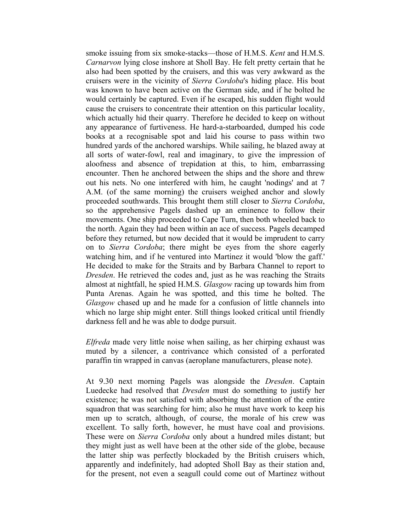smoke issuing from six smoke-stacks—those of H.M.S. *Kent* and H.M.S. *Carnarvon* lying close inshore at Sholl Bay. He felt pretty certain that he also had been spotted by the cruisers, and this was very awkward as the cruisers were in the vicinity of *Sierra Cordoba*'s hiding place. His boat was known to have been active on the German side, and if he bolted he would certainly be captured. Even if he escaped, his sudden flight would cause the cruisers to concentrate their attention on this particular locality, which actually hid their quarry. Therefore he decided to keep on without any appearance of furtiveness. He hard-a-starboarded, dumped his code books at a recognisable spot and laid his course to pass within two hundred yards of the anchored warships. While sailing, he blazed away at all sorts of water-fowl, real and imaginary, to give the impression of aloofness and absence of trepidation at this, to him, embarrassing encounter. Then he anchored between the ships and the shore and threw out his nets. No one interfered with him, he caught 'nodings' and at 7 A.M. (of the same morning) the cruisers weighed anchor and slowly proceeded southwards. This brought them still closer to *Sierra Cordoba*, so the apprehensive Pagels dashed up an eminence to follow their movements. One ship proceeded to Cape Turn, then both wheeled back to the north. Again they had been within an ace of success. Pagels decamped before they returned, but now decided that it would be imprudent to carry on to *Sierra Cordoba*; there might be eyes from the shore eagerly watching him, and if he ventured into Martinez it would 'blow the gaff.' He decided to make for the Straits and by Barbara Channel to report to *Dresden*. He retrieved the codes and, just as he was reaching the Straits almost at nightfall, he spied H.M.S. *Glasgow* racing up towards him from Punta Arenas. Again he was spotted, and this time he bolted. The *Glasgow* chased up and he made for a confusion of little channels into which no large ship might enter. Still things looked critical until friendly darkness fell and he was able to dodge pursuit.

*Elfreda* made very little noise when sailing, as her chirping exhaust was muted by a silencer, a contrivance which consisted of a perforated paraffin tin wrapped in canvas (aeroplane manufacturers, please note).

At 9.30 next morning Pagels was alongside the *Dresden*. Captain Luedecke had resolved that *Dresden* must do something to justify her existence; he was not satisfied with absorbing the attention of the entire squadron that was searching for him; also he must have work to keep his men up to scratch, although, of course, the morale of his crew was excellent. To sally forth, however, he must have coal and provisions. These were on *Sierra Cordoba* only about a hundred miles distant; but they might just as well have been at the other side of the globe, because the latter ship was perfectly blockaded by the British cruisers which, apparently and indefinitely, had adopted Sholl Bay as their station and, for the present, not even a seagull could come out of Martinez without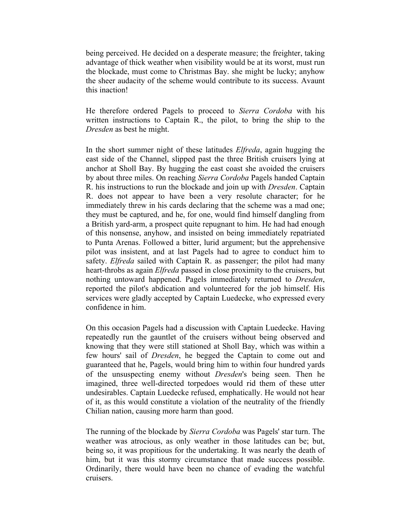being perceived. He decided on a desperate measure; the freighter, taking advantage of thick weather when visibility would be at its worst, must run the blockade, must come to Christmas Bay. she might be lucky; anyhow the sheer audacity of the scheme would contribute to its success. Avaunt this inaction!

He therefore ordered Pagels to proceed to *Sierra Cordoba* with his written instructions to Captain R., the pilot, to bring the ship to the *Dresden* as best he might.

In the short summer night of these latitudes *Elfreda*, again hugging the east side of the Channel, slipped past the three British cruisers lying at anchor at Sholl Bay. By hugging the east coast she avoided the cruisers by about three miles. On reaching *Sierra Cordoba* Pagels handed Captain R. his instructions to run the blockade and join up with *Dresden*. Captain R. does not appear to have been a very resolute character; for he immediately threw in his cards declaring that the scheme was a mad one; they must be captured, and he, for one, would find himself dangling from a British yard-arm, a prospect quite repugnant to him. He had had enough of this nonsense, anyhow, and insisted on being immediately repatriated to Punta Arenas. Followed a bitter, lurid argument; but the apprehensive pilot was insistent, and at last Pagels had to agree to conduct him to safety. *Elfreda* sailed with Captain R. as passenger; the pilot had many heart-throbs as again *Elfreda* passed in close proximity to the cruisers, but nothing untoward happened. Pagels immediately returned to *Dresden*, reported the pilot's abdication and volunteered for the job himself. His services were gladly accepted by Captain Luedecke, who expressed every confidence in him.

On this occasion Pagels had a discussion with Captain Luedecke. Having repeatedly run the gauntlet of the cruisers without being observed and knowing that they were still stationed at Sholl Bay, which was within a few hours' sail of *Dresden*, he begged the Captain to come out and guaranteed that he, Pagels, would bring him to within four hundred yards of the unsuspecting enemy without *Dresden*'s being seen. Then he imagined, three well-directed torpedoes would rid them of these utter undesirables. Captain Luedecke refused, emphatically. He would not hear of it, as this would constitute a violation of the neutrality of the friendly Chilian nation, causing more harm than good.

The running of the blockade by *Sierra Cordoba* was Pagels' star turn. The weather was atrocious, as only weather in those latitudes can be; but, being so, it was propitious for the undertaking. It was nearly the death of him, but it was this stormy circumstance that made success possible. Ordinarily, there would have been no chance of evading the watchful cruisers.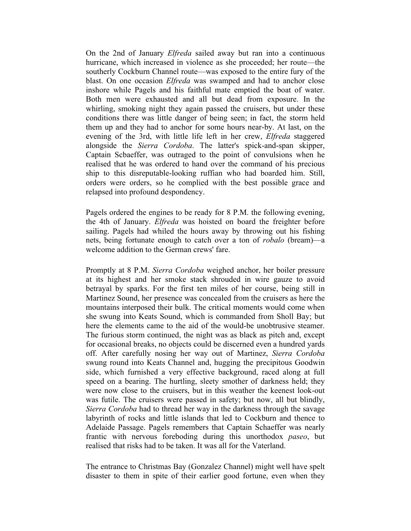On the 2nd of January *Elfreda* sailed away but ran into a continuous hurricane, which increased in violence as she proceeded; her route—the southerly Cockburn Channel route—was exposed to the entire fury of the blast. On one occasion *Elfreda* was swamped and had to anchor close inshore while Pagels and his faithful mate emptied the boat of water. Both men were exhausted and all but dead from exposure. In the whirling, smoking night they again passed the cruisers, but under these conditions there was little danger of being seen; in fact, the storm held them up and they had to anchor for some hours near-by. At last, on the evening of the 3rd, with little life left in her crew, *Elfreda* staggered alongside the *Sierra Cordoba*. The latter's spick-and-span skipper, Captain Scbaeffer, was outraged to the point of convulsions when he realised that he was ordered to hand over the command of his precious ship to this disreputable-looking ruffian who had boarded him. Still, orders were orders, so he complied with the best possible grace and relapsed into profound despondency.

Pagels ordered the engines to be ready for 8 P.M. the following evening, the 4th of January. *Elfreda* was hoisted on board the freighter before sailing. Pagels had whiled the hours away by throwing out his fishing nets, being fortunate enough to catch over a ton of *robalo* (bream)—a welcome addition to the German crews' fare.

Promptly at 8 P.M. *Sierra Cordoba* weighed anchor, her boiler pressure at its highest and her smoke stack shrouded in wire gauze to avoid betrayal by sparks. For the first ten miles of her course, being still in Martinez Sound, her presence was concealed from the cruisers as here the mountains interposed their bulk. The critical moments would come when she swung into Keats Sound, which is commanded from Sholl Bay; but here the elements came to the aid of the would-be unobtrusive steamer. The furious storm continued, the night was as black as pitch and, except for occasional breaks, no objects could be discerned even a hundred yards off. After carefully nosing her way out of Martinez, *Sierra Cordoba* swung round into Keats Channel and, hugging the precipitous Goodwin side, which furnished a very effective background, raced along at full speed on a bearing. The hurtling, sleety smother of darkness held; they were now close to the cruisers, but in this weather the keenest look-out was futile. The cruisers were passed in safety; but now, all but blindly, *Sierra Cordoba* had to thread her way in the darkness through the savage labyrinth of rocks and little islands that led to Cockburn and thence to Adelaide Passage. Pagels remembers that Captain Schaeffer was nearly frantic with nervous foreboding during this unorthodox *paseo*, but realised that risks had to be taken. It was all for the Vaterland.

The entrance to Christmas Bay (Gonzalez Channel) might well have spelt disaster to them in spite of their earlier good fortune, even when they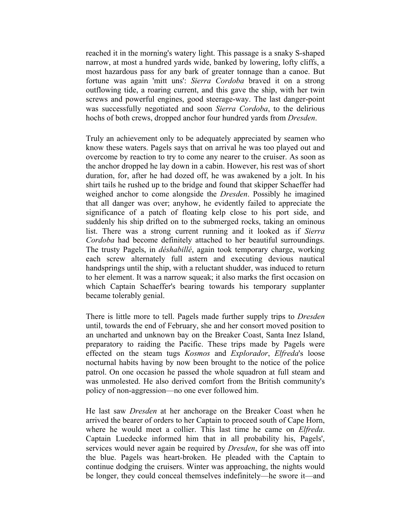reached it in the morning's watery light. This passage is a snaky S-shaped narrow, at most a hundred yards wide, banked by lowering, lofty cliffs, a most hazardous pass for any bark of greater tonnage than a canoe. But fortune was again 'mitt uns': *Sierra Cordoba* braved it on a strong outflowing tide, a roaring current, and this gave the ship, with her twin screws and powerful engines, good steerage-way. The last danger-point was successfully negotiated and soon *Sierra Cordoba*, to the delirious hochs of both crews, dropped anchor four hundred yards from *Dresden*.

Truly an achievement only to be adequately appreciated by seamen who know these waters. Pagels says that on arrival he was too played out and overcome by reaction to try to come any nearer to the cruiser. As soon as the anchor dropped he lay down in a cabin. However, his rest was of short duration, for, after he had dozed off, he was awakened by a jolt. In his shirt tails he rushed up to the bridge and found that skipper Schaeffer had weighed anchor to come alongside the *Dresden*. Possibly he imagined that all danger was over; anyhow, he evidently failed to appreciate the significance of a patch of floating kelp close to his port side, and suddenly his ship drifted on to the submerged rocks, taking an ominous list. There was a strong current running and it looked as if *Sierra Cordoba* had become definitely attached to her beautiful surroundings. The trusty Pagels, in *déshabillé*, again took temporary charge, working each screw alternately full astern and executing devious nautical handsprings until the ship, with a reluctant shudder, was induced to return to her element. It was a narrow squeak; it also marks the first occasion on which Captain Schaeffer's bearing towards his temporary supplanter became tolerably genial.

There is little more to tell. Pagels made further supply trips to *Dresden* until, towards the end of February, she and her consort moved position to an uncharted and unknown bay on the Breaker Coast, Santa Inez Island, preparatory to raiding the Pacific. These trips made by Pagels were effected on the steam tugs *Kosmos* and *Explorador*, *Elfreda*'s loose nocturnal habits having by now been brought to the notice of the police patrol. On one occasion he passed the whole squadron at full steam and was unmolested. He also derived comfort from the British community's policy of non-aggression—no one ever followed him.

He last saw *Dresden* at her anchorage on the Breaker Coast when he arrived the bearer of orders to her Captain to proceed south of Cape Horn, where he would meet a collier. This last time he came on *Elfreda*. Captain Luedecke informed him that in all probability his, Pagels', services would never again be required by *Dresden*, for she was off into the blue. Pagels was heart-broken. He pleaded with the Captain to continue dodging the cruisers. Winter was approaching, the nights would be longer, they could conceal themselves indefinitely—he swore it—and